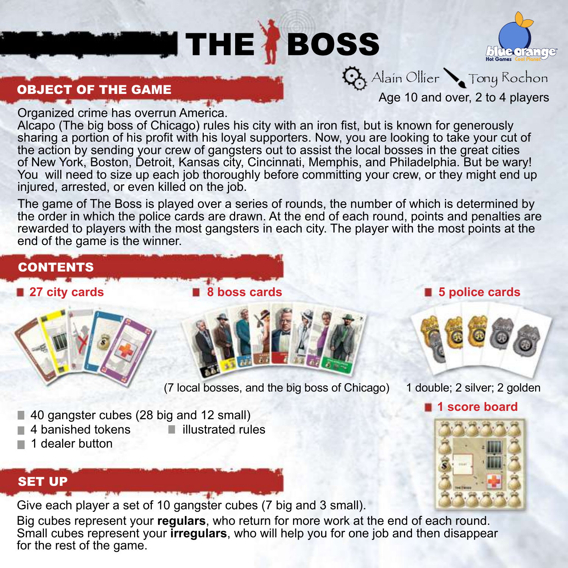# **THE BOSS**



OBJECT OF THE GAME

Organized crime has overrun America.

Alcapo (The big boss of Chicago) rules his city with an iron fist, but is known for generously sharing a portion of his profit with his loyal supporters. Now, you are looking to take your cut of the action by sending your crew of gangsters out to assist the local bosses in the great cities of New York, Boston, Detroit, Kansas city, Cincinnati, Memphis, and Philadelphia. But be wary! You will need to size up each job thoroughly before committing your crew, or they might end up injured, arrested, or even killed on the job.

The game of The Boss is played over a series of rounds, the number of which is determined by the order in which the police cards are drawn. At the end of each round, points and penalties are rewarded to players with the most gangsters in each city. The player with the most points at the end of the game is the winner.

# **CONTENTS**

**27 city cards 8 boss cards 8 boss cards 8 and 5 police cards** 





(7 local bosses, and the big boss of Chicago) 1 double; 2 silver; 2 golden

Age 10 and over, 2 to 4 players

 $\mathbf{Q}$  Alain Ollier  $\sum$  Tony Rochon



**1** score board

- 40 gangster cubes (28 big and 12 small)
- $\blacksquare$  4 banished tokens  $\blacksquare$  illustrated rules
- $\blacksquare$  1 dealer button
- 

# SET UP

Give each player a set of 10 gangster cubes (7 big and 3 small).

Big cubes represent your **regulars**, who return for more work at the end of each round. Small cubes represent your **irregulars**, who will help you for one job and then disappear for the rest of the game.

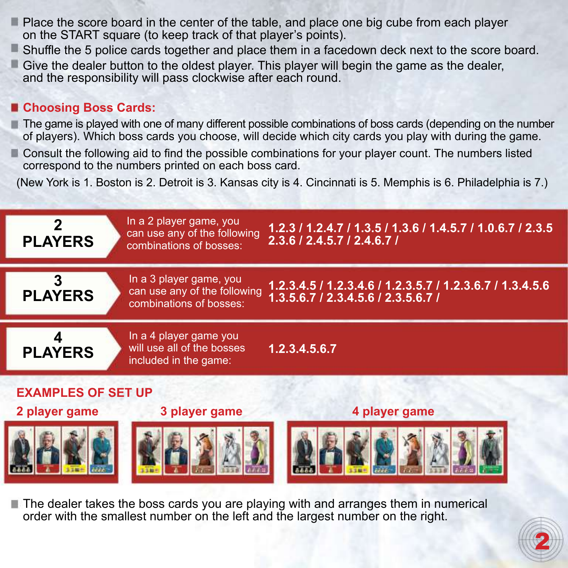- Place the score board in the center of the table, and place one big cube from each player on the START square (to keep track of that player's points).
- Shuffle the 5 police cards together and place them in a facedown deck next to the score board.
- $\blacksquare$  Give the dealer button to the oldest player. This player will begin the game as the dealer and the responsibility will pass clockwise after each round.

#### **Choosing Boss Cards:**

- The game is played with one of many different possible combinations of boss cards (depending on the number of players). Which boss cards you choose, will decide which city cards you play with during the game.
- Consult the following aid to find the possible combinations for your player count. The numbers listed correspond to the numbers printed on each boss card.

(New York is 1. Boston is 2. Detroit is 3. Kansas city is 4. Cincinnati is 5. Memphis is 6. Philadelphia is 7.)



 $\blacksquare$  The dealer takes the boss cards you are playing with and arranges them in numerical order with the smallest number on the left and the largest number on the right.

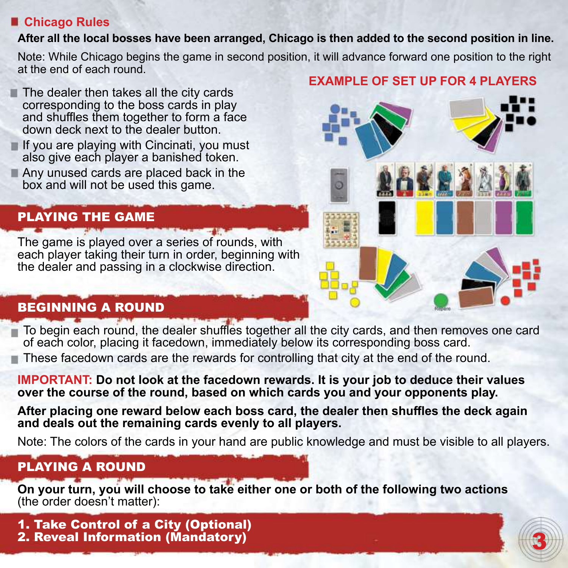#### **Chicago Rules**

#### **After all the local bosses have been arranged, Chicago is then added to the second position in line.**

Note: While Chicago begins the game in second position, it will advance forward one position to the right at the end of each round.

- $\blacksquare$  The dealer then takes all the city cards corresponding to the boss cards in play and shuffles them together to form a face down deck next to the dealer button.
- $\blacksquare$  If you are playing with Cincinati, you must also give each player a banished token.
- Any unused cards are placed back in the box and will not be used this game.

# PLAYING THE GAME

The game is played over a series of rounds, with each player taking their turn in order, beginning with the dealer and passing in a clockwise direction.

# BEGINNING A ROUND

To begin each round, the dealer shuffles together all the city cards, and then removes one card of each color, placing it facedown, immediately below its corresponding boss card.

These facedown cards are the rewards for controlling that city at the end of the round.

**IMPORTANT: Do not look at the facedown rewards. It is your job to deduce their values over the course of the round, based on which cards you and your opponents play.** 

**After placing one reward below each boss card, the dealer then shuffles the deck again and deals out the remaining cards evenly to all players.** 

Note: The colors of the cards in your hand are public knowledge and must be visible to all players.

# PLAYING A ROUND

**On your turn, you will choose to take either one or both of the following two actions**  (the order doesn't matter):

1. Take Control of a City (Optional) 2. Reveal Information (Mandatory)

## **EXAMPLE OF SET UP FOR 4 PLAYERS**



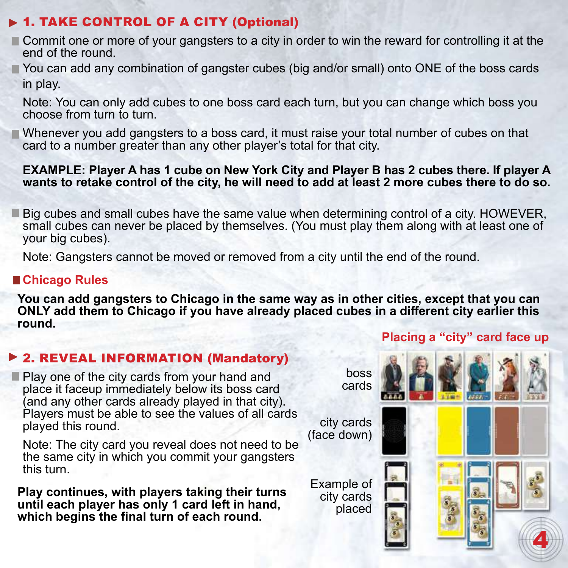## ▶ 1. TAKE CONTROL OF A CITY (Optional)

- Commit one or more of your gangsters to a city in order to win the reward for controlling it at the end of the round.
- You can add any combination of gangster cubes (big and/or small) onto ONE of the boss cards in play.
	- Note: You can only add cubes to one boss card each turn, but you can change which boss you choose from turn to turn.
- Whenever you add gangsters to a boss card, it must raise your total number of cubes on that card to a number greater than any other player's total for that city.

#### **EXAMPLE: Player A has 1 cube on New York City and Player B has 2 cubes there. If player A wants to retake control of the city, he will need to add at least 2 more cubes there to do so.**

**Big cubes and small cubes have the same value when determining control of a city. HOWEVER,** small cubes can never be placed by themselves. (You must play them along with at least one of your big cubes).

Note: Gangsters cannot be moved or removed from a city until the end of the round.

#### **Chicago Rules**

**You can add gangsters to Chicago in the same way as in other cities, except that you can ONLY add them to Chicago if you have already placed cubes in a different city earlier this round. Placing a "city" card face up**

## ▶ 2. REVEAL INFORMATION (Mandatory)

**Play one of the city cards from your hand and** place it faceup immediately below its boss card (and any other cards already played in that city). Players must be able to see the values of all cards played this round.

Note: The city card you reveal does not need to be the same city in which you commit your gangsters this turn.

**Play continues, with players taking their turns until each player has only 1 card left in hand, which begins the final turn of each round.**

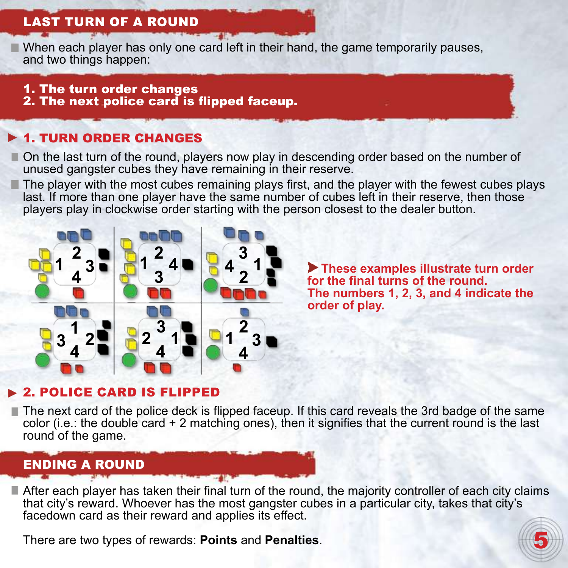# Last turn of a round

 $\blacksquare$  When each player has only one card left in their hand, the game temporarily pauses, and two things happen:

#### 1. The turn order changes

2. The next police card is flipped faceup.

# **1. TURN ORDER CHANGES**

On the last turn of the round, players now play in descending order based on the number of unused gangster cubes they have remaining in their reserve.

The player with the most cubes remaining plays first, and the player with the fewest cubes plays last. If more than one player have the same number of cubes left in their reserve, then those players play in clockwise order starting with the person closest to the dealer button.



 **These examples illustrate turn order for the final turns of the round. The numbers 1, 2, 3, and 4 indicate the order of play.**

# 2. Police Card is Flipped

The next card of the police deck is flipped faceup. If this card reveals the 3rd badge of the same color (i.e.: the double card + 2 matching ones), then it signifies that the current round is the last round of the game.

# ENDING A ROUND

After each player has taken their final turn of the round, the majority controller of each city claims that city's reward. Whoever has the most gangster cubes in a particular city, takes that city's facedown card as their reward and applies its effect.

There are two types of rewards: **Points** and **Penalties**.

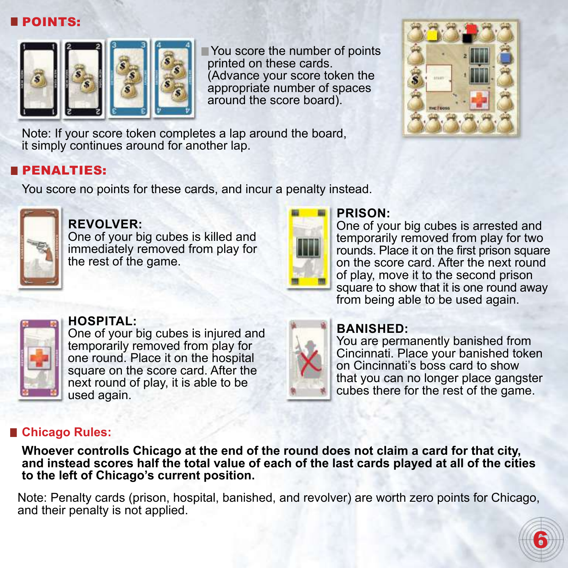## **POINTS:**



 You score the number of points printed on these cards. (Advance your score token the appropriate number of spaces around the score board).



Note: If your score token completes a lap around the board, it simply continues around for another lap.

## **BPENALTIES:**

You score no points for these cards, and incur a penalty instead.



# **Revolver:**

One of your big cubes is killed and immediately removed from play for the rest of the game.



## **Prison:**

One of your big cubes is arrested and temporarily removed from play for two rounds. Place it on the first prison square on the score card. After the next round of play, move it to the second prison square to show that it is one round away from being able to be used again.



#### **Hospital:**

One of your big cubes is injured and temporarily removed from play for one round. Place it on the hospital square on the score card. After the next round of play, it is able to be used again.



## **Banished:**

You are permanently banished from Cincinnati. Place your banished token on Cincinnati's boss card to show that you can no longer place gangster cubes there for the rest of the game.

## **Chicago Rules:**

**Whoever controlls Chicago at the end of the round does not claim a card for that city, and instead scores half the total value of each of the last cards played at all of the cities to the left of Chicago's current position.** 

Note: Penalty cards (prison, hospital, banished, and revolver) are worth zero points for Chicago, and their penalty is not applied.

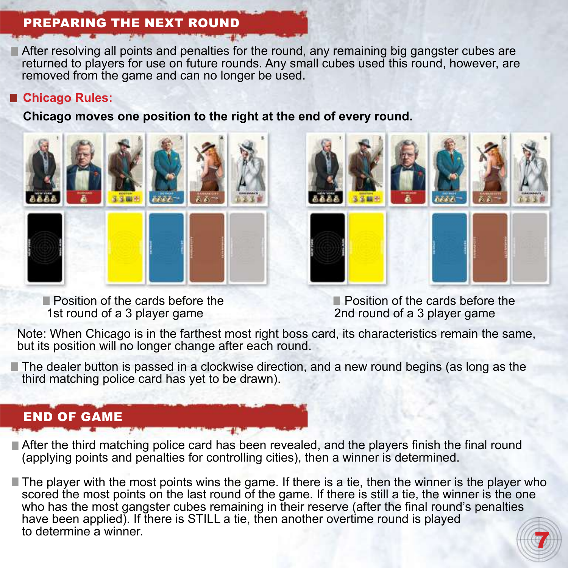# preparing the next round

After resolving all points and penalties for the round, any remaining big gangster cubes are returned to players for use on future rounds. Any small cubes used this round, however, are removed from the game and can no longer be used.

#### **Chicago Rules:**

**Chicago moves one position to the right at the end of every round.**



**Position of the cards before the** 1st round of a 3 player game



**Position of the cards before the** 2nd round of a 3 player game

Note: When Chicago is in the farthest most right boss card, its characteristics remain the same, but its position will no longer change after each round.

The dealer button is passed in a clockwise direction, and a new round begins (as long as the third matching police card has yet to be drawn).

# END OF GAME

After the third matching police card has been revealed, and the players finish the final round (applying points and penalties for controlling cities), then a winner is determined.

7 The player with the most points wins the game. If there is a tie, then the winner is the player who scored the most points on the last round of the game. If there is still a tie, the winner is the one who has the most gangster cubes remaining in their reserve (after the final round's penalties have been applied). If there is STILL a tie, then another overtime round is played to determine a winner.